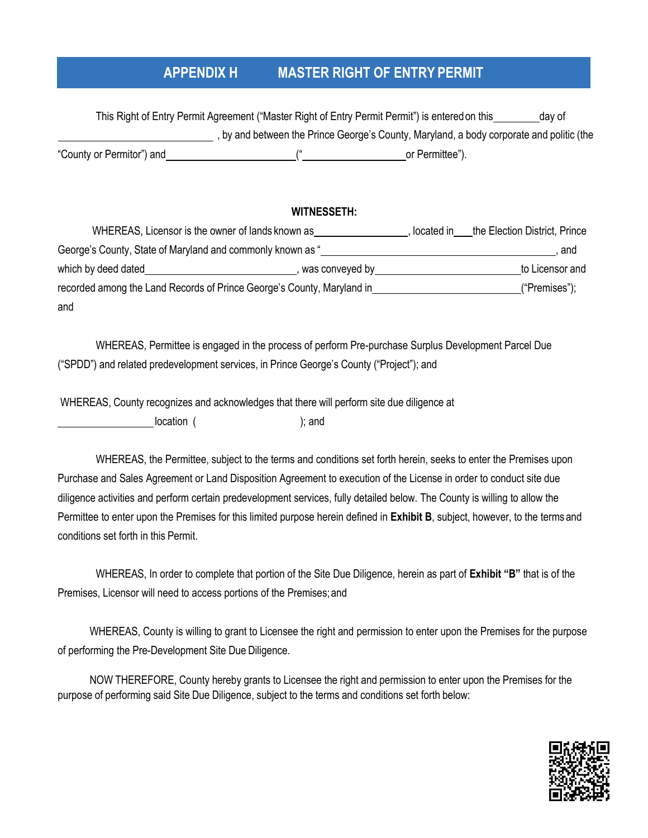# **APPENDIX H MASTER RIGHT OF ENTRY PERMIT**

This Right of Entry Permit Agreement ("Master Right of Entry Permit Permit") is entered on this \_\_\_\_\_\_\_\_\_day of , by and between the Prince George's County, Maryland, a body corporate and politic (the "County or Permitor") and  $($ " or Permittee").

#### **WITNESSETH:**

WHEREAS, Licensor is the owner of lands known as , located in the Election District, Prince George's County, State of Maryland and commonly known as "
(a)  $\frac{1}{2}$  , and  $\frac{1}{2}$  , and which by deed dated **the example of the example of the example of the example of the example of the example of to Licensor and Solid August 2016, was conveyed by the example of the example of the example of the example of** recorded among the Land Records of Prince George's County, Maryland in ("Premises"); and

WHEREAS, Permittee is engaged in the process of perform Pre-purchase Surplus Development Parcel Due ("SPDD") and related predevelopment services, in Prince George's County ("Project"); and

WHEREAS, County recognizes and acknowledges that there will perform site due diligence at

location ( ); and

WHEREAS, the Permittee, subject to the terms and conditions set forth herein, seeks to enter the Premises upon Purchase and Sales Agreement or Land Disposition Agreement to execution of the License in order to conduct site due diligence activities and perform certain predevelopment services, fully detailed below. The County is willing to allow the Permittee to enter upon the Premises for this limited purpose herein defined in **Exhibit B**, subject, however, to the terms and conditions set forth in this Permit.

WHEREAS, In order to complete that portion of the Site Due Diligence, herein as part of **Exhibit "B"** that is of the Premises, Licensor will need to access portions of the Premises; and

WHEREAS, County is willing to grant to Licensee the right and permission to enter upon the Premises for the purpose of performing the Pre-Development Site Due Diligence.

NOW THEREFORE, County hereby grants to Licensee the right and permission to enter upon the Premises for the purpose of performing said Site Due Diligence, subject to the terms and conditions set forth below:

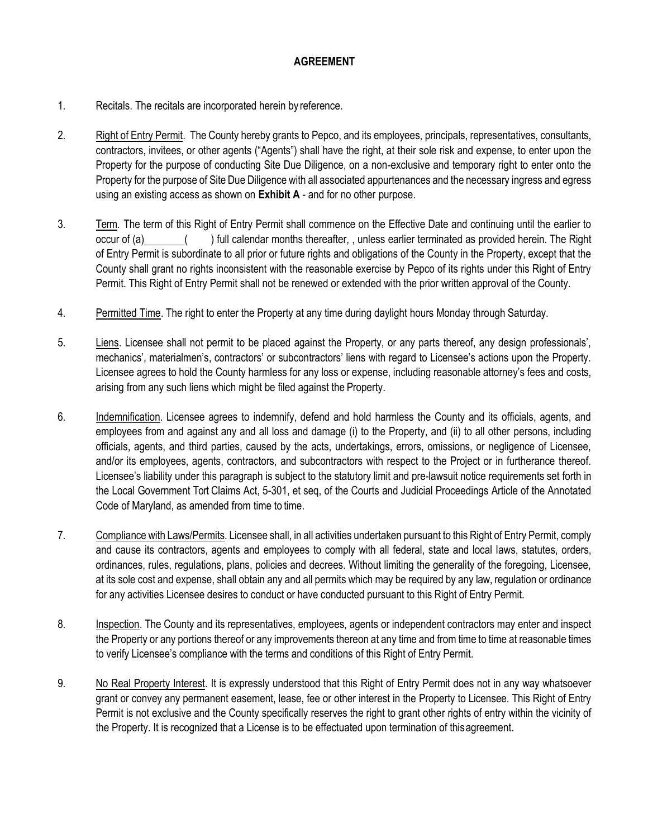### **AGREEMENT**

- 1. Recitals. The recitals are incorporated herein by reference.
- 2. Right of Entry Permit. The County hereby grants to Pepco, and its employees, principals, representatives, consultants, contractors, invitees, or other agents ("Agents") shall have the right, at their sole risk and expense, to enter upon the Property for the purpose of conducting Site Due Diligence, on a non-exclusive and temporary right to enter onto the Property for the purpose of Site Due Diligence with all associated appurtenances and the necessary ingress and egress using an existing access as shown on **Exhibit A** - and for no other purpose.
- 3. Term. The term of this Right of Entry Permit shall commence on the Effective Date and continuing until the earlier to occur of (a) ( ) full calendar months thereafter, , unless earlier terminated as provided herein. The Right of Entry Permit is subordinate to all prior or future rights and obligations of the County in the Property, except that the County shall grant no rights inconsistent with the reasonable exercise by Pepco of its rights under this Right of Entry Permit. This Right of Entry Permit shall not be renewed or extended with the prior written approval of the County.
- 4. Permitted Time. The right to enter the Property at any time during daylight hours Monday through Saturday.
- 5. Liens. Licensee shall not permit to be placed against the Property, or any parts thereof, any design professionals', mechanics', materialmen's, contractors' or subcontractors' liens with regard to Licensee's actions upon the Property. Licensee agrees to hold the County harmless for any loss or expense, including reasonable attorney's fees and costs, arising from any such liens which might be filed against the Property.
- 6. Indemnification. Licensee agrees to indemnify, defend and hold harmless the County and its officials, agents, and employees from and against any and all loss and damage (i) to the Property, and (ii) to all other persons, including officials, agents, and third parties, caused by the acts, undertakings, errors, omissions, or negligence of Licensee, and/or its employees, agents, contractors, and subcontractors with respect to the Project or in furtherance thereof. Licensee's liability under this paragraph is subject to the statutory limit and pre-lawsuit notice requirements set forth in the Local Government Tort Claims Act, 5-301, et seq, of the Courts and Judicial Proceedings Article of the Annotated Code of Maryland, as amended from time to time.
- 7. Compliance with Laws/Permits. Licensee shall, in all activities undertaken pursuant to this Right of Entry Permit, comply and cause its contractors, agents and employees to comply with all federal, state and local laws, statutes, orders, ordinances, rules, regulations, plans, policies and decrees. Without limiting the generality of the foregoing, Licensee, at its sole cost and expense, shall obtain any and all permits which may be required by any law, regulation or ordinance for any activities Licensee desires to conduct or have conducted pursuant to this Right of Entry Permit.
- 8. Inspection. The County and its representatives, employees, agents or independent contractors may enter and inspect the Property or any portions thereof or any improvements thereon at any time and from time to time at reasonable times to verify Licensee's compliance with the terms and conditions of this Right of Entry Permit.
- 9. No Real Property Interest. It is expressly understood that this Right of Entry Permit does not in any way whatsoever grant or convey any permanent easement, lease, fee or other interest in the Property to Licensee. This Right of Entry Permit is not exclusive and the County specifically reserves the right to grant other rights of entry within the vicinity of the Property. It is recognized that a License is to be effectuated upon termination of this agreement.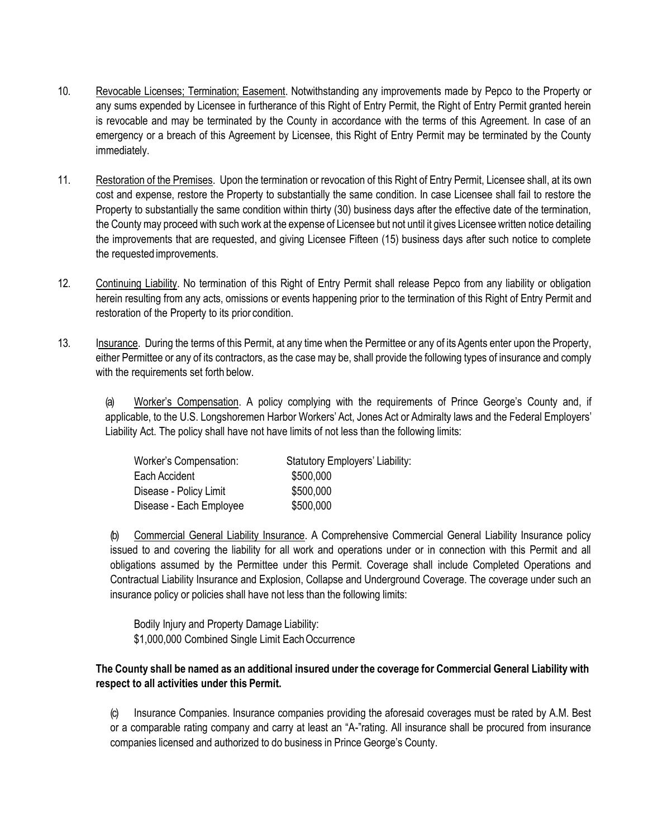- 10. Revocable Licenses; Termination; Easement. Notwithstanding any improvements made by Pepco to the Property or any sums expended by Licensee in furtherance of this Right of Entry Permit, the Right of Entry Permit granted herein is revocable and may be terminated by the County in accordance with the terms of this Agreement. In case of an emergency or a breach of this Agreement by Licensee, this Right of Entry Permit may be terminated by the County immediately.
- 11. Restoration of the Premises. Upon the termination or revocation of this Right of Entry Permit, Licensee shall, at its own cost and expense, restore the Property to substantially the same condition. In case Licensee shall fail to restore the Property to substantially the same condition within thirty (30) business days after the effective date of the termination, the County may proceed with such work at the expense of Licensee but not until it gives Licensee written notice detailing the improvements that are requested, and giving Licensee Fifteen (15) business days after such notice to complete the requested improvements.
- 12. Continuing Liability. No termination of this Right of Entry Permit shall release Pepco from any liability or obligation herein resulting from any acts, omissions or events happening prior to the termination of this Right of Entry Permit and restoration of the Property to its prior condition.
- 13. Insurance. During the terms of this Permit, at any time when the Permittee or any of its Agents enter upon the Property, either Permittee or any of its contractors, as the case may be, shall provide the following types of insurance and comply with the requirements set forth below.

(a) Worker's Compensation. A policy complying with the requirements of Prince George's County and, if applicable, to the U.S. Longshoremen Harbor Workers' Act, Jones Act or Admiralty laws and the Federal Employers' Liability Act. The policy shall have not have limits of not less than the following limits:

| Worker's Compensation:  | <b>Statutory Employers' Liability:</b> |
|-------------------------|----------------------------------------|
| Each Accident           | \$500,000                              |
| Disease - Policy Limit  | \$500,000                              |
| Disease - Each Employee | \$500,000                              |

(b) Commercial General Liability Insurance. A Comprehensive Commercial General Liability Insurance policy issued to and covering the liability for all work and operations under or in connection with this Permit and all obligations assumed by the Permittee under this Permit. Coverage shall include Completed Operations and Contractual Liability Insurance and Explosion, Collapse and Underground Coverage. The coverage under such an insurance policy or policies shall have not less than the following limits:

Bodily Injury and Property Damage Liability: \$1,000,000 Combined Single Limit Each Occurrence

#### **The County shall be named as an additional insured under the coverage for Commercial General Liability with respect to all activities under this Permit.**

(c) Insurance Companies. Insurance companies providing the aforesaid coverages must be rated by A.M. Best or a comparable rating company and carry at least an "A-"rating. All insurance shall be procured from insurance companies licensed and authorized to do business in Prince George's County.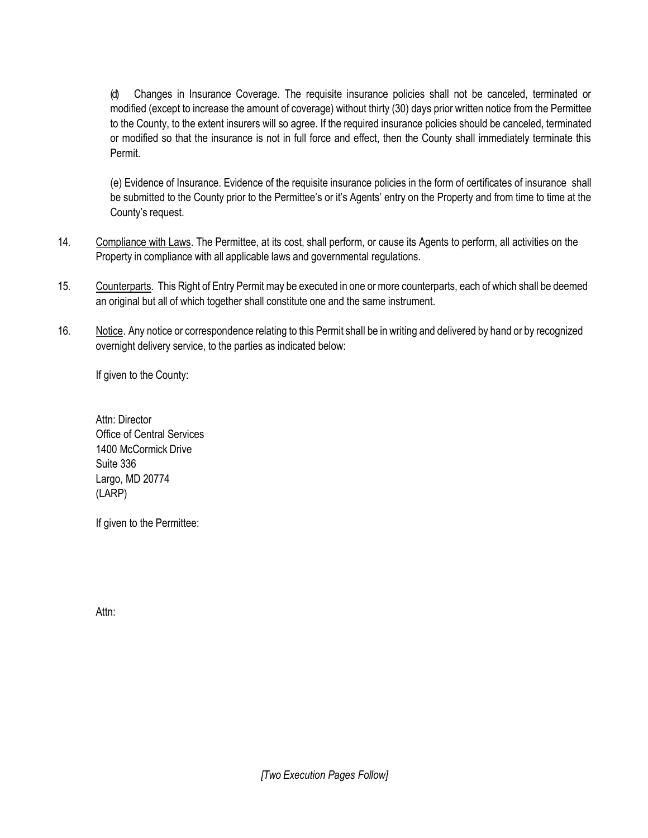(d) Changes in Insurance Coverage. The requisite insurance policies shall not be canceled, terminated or modified (except to increase the amount of coverage) without thirty (30) days prior written notice from the Permittee to the County, to the extent insurers will so agree. If the required insurance policies should be canceled, terminated or modified so that the insurance is not in full force and effect, then the County shall immediately terminate this Permit.

(e) Evidence of Insurance. Evidence of the requisite insurance policies in the form of certificates of insurance shall be submitted to the County prior to the Permittee's or it's Agents' entry on the Property and from time to time at the County's request.

- 14. Compliance with Laws. The Permittee, at its cost, shall perform, or cause its Agents to perform, all activities on the Property in compliance with all applicable laws and governmental regulations.
- 15. Counterparts. This Right of Entry Permit may be executed in one or more counterparts, each of which shall be deemed an original but all of which together shall constitute one and the same instrument.
- 16. Notice. Any notice or correspondence relating to this Permit shall be in writing and delivered by hand or by recognized overnight delivery service, to the parties as indicated below:

If given to the County:

Attn: Director Office of Central Services 1400 McCormick Drive Suite 336 Largo, MD 20774 (LARP)

If given to the Permittee:

Attn: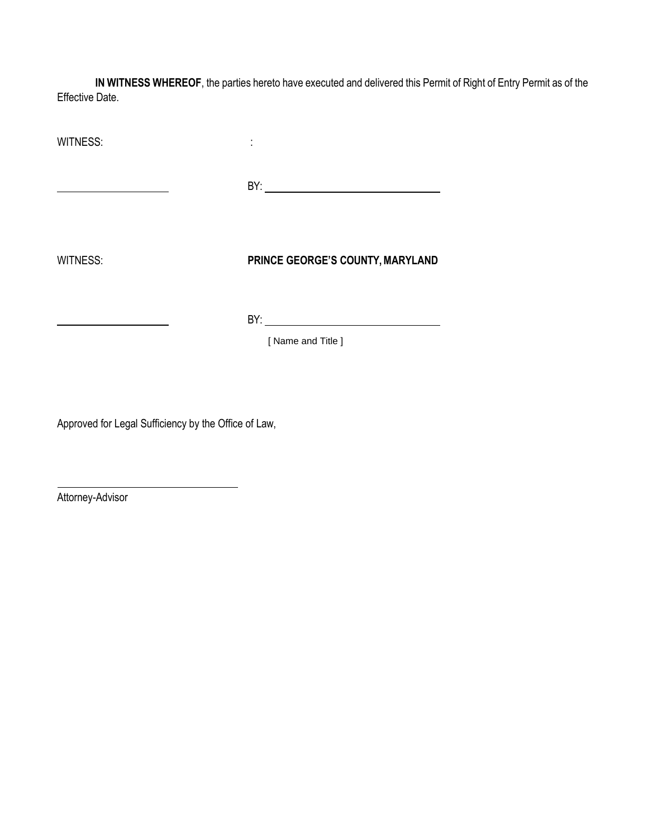**IN WITNESS WHEREOF**, the parties hereto have executed and delivered this Permit of Right of Entry Permit as of the Effective Date.

WITNESS:  $\qquad \qquad \vdots$ 

BY:

WITNESS: **PRINCE GEORGE'S COUNTY, MARYLAND**

BY:

[ Name and Title ]

Approved for Legal Sufficiency by the Office of Law,

Attorney-Advisor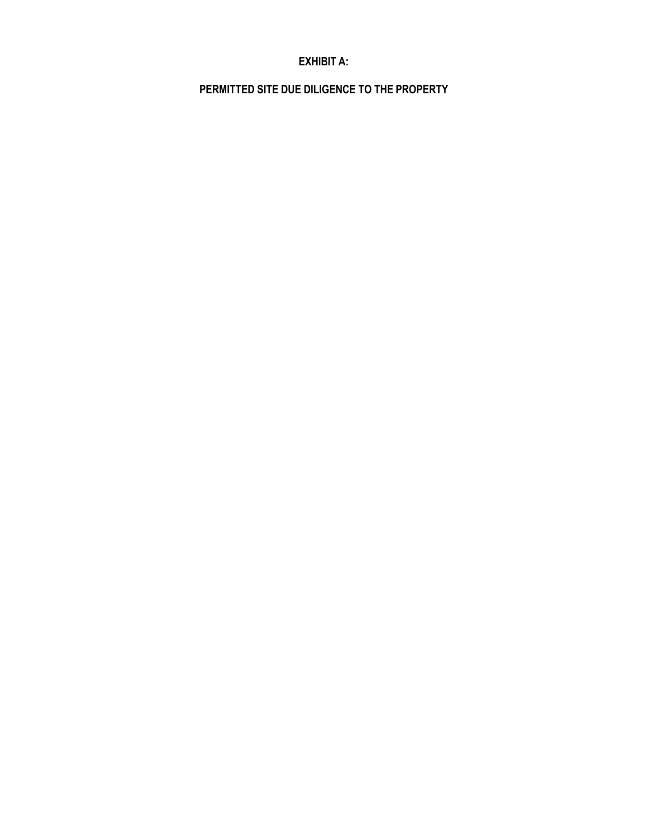## **EXHIBIT A:**

**PERMITTED SITE DUE DILIGENCE TO THE PROPERTY**